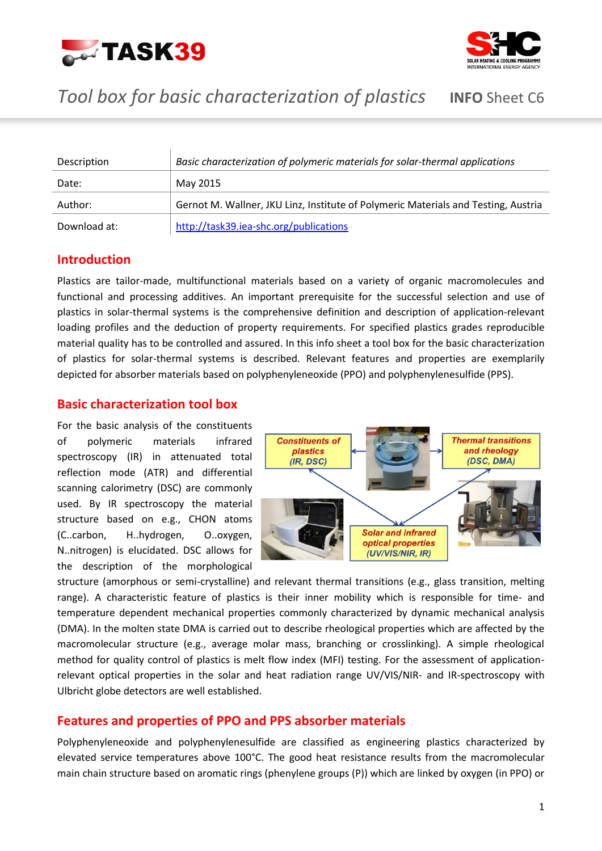



## *Tool box for basic characterization of plastics* **INFO** Sheet C6

| Description  | Basic characterization of polymeric materials for solar-thermal applications       |
|--------------|------------------------------------------------------------------------------------|
| Date:        | May 2015                                                                           |
| Author:      | Gernot M. Wallner, JKU Linz, Institute of Polymeric Materials and Testing, Austria |
| Download at: | http://task39.iea-shc.org/publications                                             |

### **Introduction**

Plastics are tailor-made, multifunctional materials based on a variety of organic macromolecules and functional and processing additives. An important prerequisite for the successful selection and use of plastics in solar-thermal systems is the comprehensive definition and description of application-relevant loading profiles and the deduction of property requirements. For specified plastics grades reproducible material quality has to be controlled and assured. In this info sheet a tool box for the basic characterization of plastics for solar-thermal systems is described. Relevant features and properties are exemplarily depicted for absorber materials based on polyphenyleneoxide (PPO) and polyphenylenesulfide (PPS).

### **Basic characterization tool box**

For the basic analysis of the constituents of polymeric materials infrared spectroscopy (IR) in attenuated total reflection mode (ATR) and differential scanning calorimetry (DSC) are commonly used. By IR spectroscopy the material structure based on e.g., CHON atoms (C..carbon, H..hydrogen, O..oxygen, N..nitrogen) is elucidated. DSC allows for the description of the morphological



structure (amorphous or semi-crystalline) and relevant thermal transitions (e.g., glass transition, melting range). A characteristic feature of plastics is their inner mobility which is responsible for time- and temperature dependent mechanical properties commonly characterized by dynamic mechanical analysis (DMA). In the molten state DMA is carried out to describe rheological properties which are affected by the macromolecular structure (e.g., average molar mass, branching or crosslinking). A simple rheological method for quality control of plastics is melt flow index (MFI) testing. For the assessment of applicationrelevant optical properties in the solar and heat radiation range UV/VIS/NIR- and IR-spectroscopy with Ulbricht globe detectors are well established.

### **Features and properties of PPO and PPS absorber materials**

Polyphenyleneoxide and polyphenylenesulfide are classified as engineering plastics characterized by elevated service temperatures above 100°C. The good heat resistance results from the macromolecular main chain structure based on aromatic rings (phenylene groups (P)) which are linked by oxygen (in PPO) or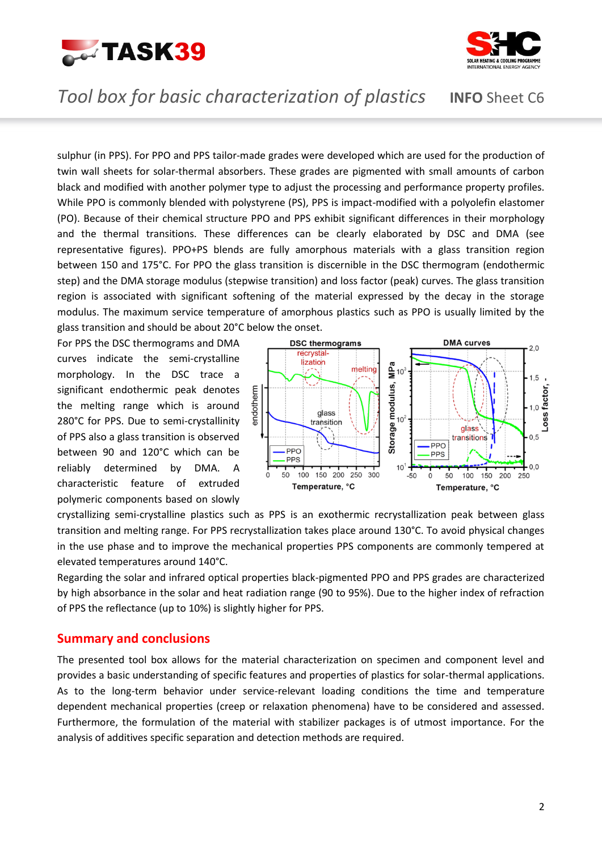



## *Tool box for basic characterization of plastics* **INFO** Sheet C6

sulphur (in PPS). For PPO and PPS tailor-made grades were developed which are used for the production of twin wall sheets for solar-thermal absorbers. These grades are pigmented with small amounts of carbon black and modified with another polymer type to adjust the processing and performance property profiles. While PPO is commonly blended with polystyrene (PS), PPS is impact-modified with a polyolefin elastomer (PO). Because of their chemical structure PPO and PPS exhibit significant differences in their morphology and the thermal transitions. These differences can be clearly elaborated by DSC and DMA (see representative figures). PPO+PS blends are fully amorphous materials with a glass transition region between 150 and 175°C. For PPO the glass transition is discernible in the DSC thermogram (endothermic step) and the DMA storage modulus (stepwise transition) and loss factor (peak) curves. The glass transition region is associated with significant softening of the material expressed by the decay in the storage modulus. The maximum service temperature of amorphous plastics such as PPO is usually limited by the glass transition and should be about 20°C below the onset.

For PPS the DSC thermograms and DMA curves indicate the semi-crystalline morphology. In the DSC trace a significant endothermic peak denotes the melting range which is around 280°C for PPS. Due to semi-crystallinity of PPS also a glass transition is observed between 90 and 120°C which can be reliably determined by DMA. A characteristic feature of extruded polymeric components based on slowly



crystallizing semi-crystalline plastics such as PPS is an exothermic recrystallization peak between glass transition and melting range. For PPS recrystallization takes place around 130°C. To avoid physical changes in the use phase and to improve the mechanical properties PPS components are commonly tempered at elevated temperatures around 140°C.

Regarding the solar and infrared optical properties black-pigmented PPO and PPS grades are characterized by high absorbance in the solar and heat radiation range (90 to 95%). Due to the higher index of refraction of PPS the reflectance (up to 10%) is slightly higher for PPS.

#### **Summary and conclusions**

The presented tool box allows for the material characterization on specimen and component level and provides a basic understanding of specific features and properties of plastics for solar-thermal applications. As to the long-term behavior under service-relevant loading conditions the time and temperature dependent mechanical properties (creep or relaxation phenomena) have to be considered and assessed. Furthermore, the formulation of the material with stabilizer packages is of utmost importance. For the analysis of additives specific separation and detection methods are required.